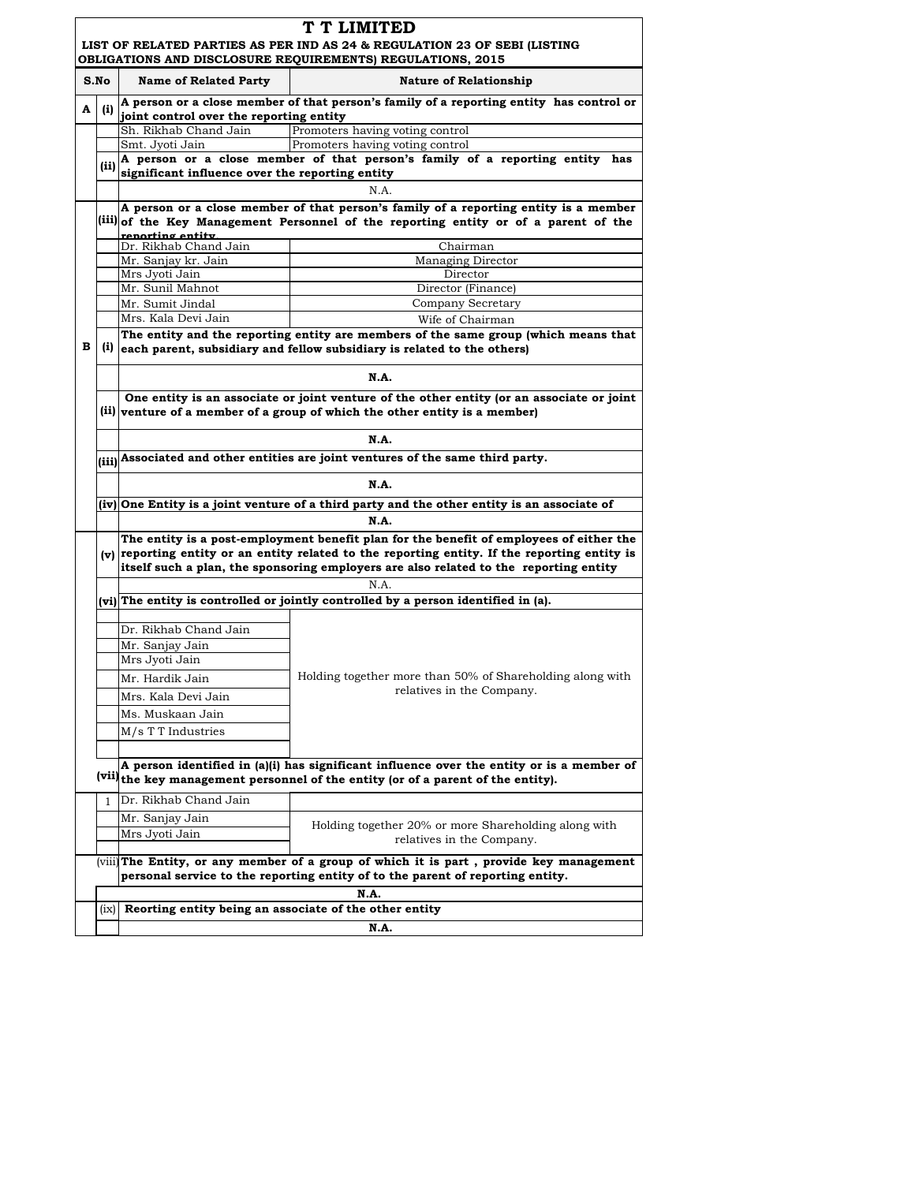|      | T T LIMITED<br>LIST OF RELATED PARTIES AS PER IND AS 24 & REGULATION 23 OF SEBI (LISTING<br>OBLIGATIONS AND DISCLOSURE REQUIREMENTS) REGULATIONS, 2015 |                                                                                                                                                                                            |                                                                                                                                                                               |  |  |
|------|--------------------------------------------------------------------------------------------------------------------------------------------------------|--------------------------------------------------------------------------------------------------------------------------------------------------------------------------------------------|-------------------------------------------------------------------------------------------------------------------------------------------------------------------------------|--|--|
| S.No |                                                                                                                                                        | <b>Name of Related Party</b>                                                                                                                                                               | <b>Nature of Relationship</b>                                                                                                                                                 |  |  |
| A    | (i)                                                                                                                                                    | A person or a close member of that person's family of a reporting entity has control or<br>joint control over the reporting entity                                                         |                                                                                                                                                                               |  |  |
|      |                                                                                                                                                        | Sh. Rikhab Chand Jain                                                                                                                                                                      | Promoters having voting control                                                                                                                                               |  |  |
|      |                                                                                                                                                        | Smt. Jyoti Jain                                                                                                                                                                            | Promoters having voting control                                                                                                                                               |  |  |
|      | (ii)                                                                                                                                                   | A person or a close member of that person's family of a reporting entity has                                                                                                               |                                                                                                                                                                               |  |  |
|      |                                                                                                                                                        | significant influence over the reporting entity<br>N.A.                                                                                                                                    |                                                                                                                                                                               |  |  |
|      |                                                                                                                                                        |                                                                                                                                                                                            |                                                                                                                                                                               |  |  |
|      |                                                                                                                                                        | A person or a close member of that person's family of a reporting entity is a member<br>(iii) of the Key Management Personnel of the reporting entity or of a parent of the                |                                                                                                                                                                               |  |  |
|      |                                                                                                                                                        | renorting entity.<br>Dr. Rikhab Chand Jain                                                                                                                                                 | Chairman                                                                                                                                                                      |  |  |
|      |                                                                                                                                                        | Mr. Sanjay kr. Jain                                                                                                                                                                        | Managing Director                                                                                                                                                             |  |  |
|      |                                                                                                                                                        | Mrs Jyoti Jain                                                                                                                                                                             | Director                                                                                                                                                                      |  |  |
|      |                                                                                                                                                        | Mr. Sunil Mahnot                                                                                                                                                                           | Director (Finance)                                                                                                                                                            |  |  |
|      |                                                                                                                                                        | Mr. Sumit Jindal                                                                                                                                                                           | Company Secretary                                                                                                                                                             |  |  |
|      |                                                                                                                                                        | Mrs. Kala Devi Jain                                                                                                                                                                        | Wife of Chairman                                                                                                                                                              |  |  |
| в    |                                                                                                                                                        | The entity and the reporting entity are members of the same group (which means that<br>$(i)$ each parent, subsidiary and fellow subsidiary is related to the others)                       |                                                                                                                                                                               |  |  |
|      |                                                                                                                                                        | N.A.                                                                                                                                                                                       |                                                                                                                                                                               |  |  |
|      |                                                                                                                                                        | One entity is an associate or joint venture of the other entity (or an associate or joint                                                                                                  |                                                                                                                                                                               |  |  |
|      |                                                                                                                                                        | (ii) venture of a member of a group of which the other entity is a member)                                                                                                                 |                                                                                                                                                                               |  |  |
|      |                                                                                                                                                        | N.A.                                                                                                                                                                                       |                                                                                                                                                                               |  |  |
|      |                                                                                                                                                        | (iii) Associated and other entities are joint ventures of the same third party.                                                                                                            |                                                                                                                                                                               |  |  |
|      |                                                                                                                                                        | N.A.                                                                                                                                                                                       |                                                                                                                                                                               |  |  |
|      |                                                                                                                                                        | (iv) One Entity is a joint venture of a third party and the other entity is an associate of                                                                                                |                                                                                                                                                                               |  |  |
|      | N.A.                                                                                                                                                   |                                                                                                                                                                                            |                                                                                                                                                                               |  |  |
|      |                                                                                                                                                        | The entity is a post-employment benefit plan for the benefit of employees of either the<br>$(v)$ reporting entity or an entity related to the reporting entity. If the reporting entity is |                                                                                                                                                                               |  |  |
|      |                                                                                                                                                        |                                                                                                                                                                                            | itself such a plan, the sponsoring employers are also related to the reporting entity                                                                                         |  |  |
|      |                                                                                                                                                        |                                                                                                                                                                                            |                                                                                                                                                                               |  |  |
|      |                                                                                                                                                        | N.A.                                                                                                                                                                                       |                                                                                                                                                                               |  |  |
|      |                                                                                                                                                        | (vi) The entity is controlled or jointly controlled by a person identified in (a).                                                                                                         |                                                                                                                                                                               |  |  |
|      |                                                                                                                                                        |                                                                                                                                                                                            |                                                                                                                                                                               |  |  |
|      |                                                                                                                                                        | Dr. Rikhab Chand Jain                                                                                                                                                                      | Holding together more than 50% of Shareholding along with<br>relatives in the Company.                                                                                        |  |  |
|      |                                                                                                                                                        | Mr. Sanjay Jain<br>Mrs Jyoti Jain                                                                                                                                                          |                                                                                                                                                                               |  |  |
|      |                                                                                                                                                        |                                                                                                                                                                                            |                                                                                                                                                                               |  |  |
|      |                                                                                                                                                        | Mr. Hardik Jain                                                                                                                                                                            |                                                                                                                                                                               |  |  |
|      |                                                                                                                                                        | Mrs. Kala Devi Jain                                                                                                                                                                        |                                                                                                                                                                               |  |  |
|      |                                                                                                                                                        | Ms. Muskaan Jain                                                                                                                                                                           |                                                                                                                                                                               |  |  |
|      |                                                                                                                                                        | M/s T T Industries                                                                                                                                                                         |                                                                                                                                                                               |  |  |
|      |                                                                                                                                                        |                                                                                                                                                                                            |                                                                                                                                                                               |  |  |
|      |                                                                                                                                                        |                                                                                                                                                                                            | A person identified in (a)(i) has significant influence over the entity or is a member of<br>(vii) the key management personnel of the entity (or of a parent of the entity). |  |  |
|      | 1                                                                                                                                                      | Dr. Rikhab Chand Jain                                                                                                                                                                      |                                                                                                                                                                               |  |  |
|      |                                                                                                                                                        | Mr. Sanjay Jain                                                                                                                                                                            |                                                                                                                                                                               |  |  |
|      |                                                                                                                                                        | Mrs Jyoti Jain                                                                                                                                                                             | Holding together 20% or more Shareholding along with<br>relatives in the Company.                                                                                             |  |  |
|      |                                                                                                                                                        |                                                                                                                                                                                            | (viii) The Entity, or any member of a group of which it is part, provide key management<br>personal service to the reporting entity of to the parent of reporting entity.     |  |  |
|      |                                                                                                                                                        | N.A.                                                                                                                                                                                       |                                                                                                                                                                               |  |  |
|      | (ix)                                                                                                                                                   | Reorting entity being an associate of the other entity                                                                                                                                     |                                                                                                                                                                               |  |  |
|      |                                                                                                                                                        |                                                                                                                                                                                            | N.A.                                                                                                                                                                          |  |  |